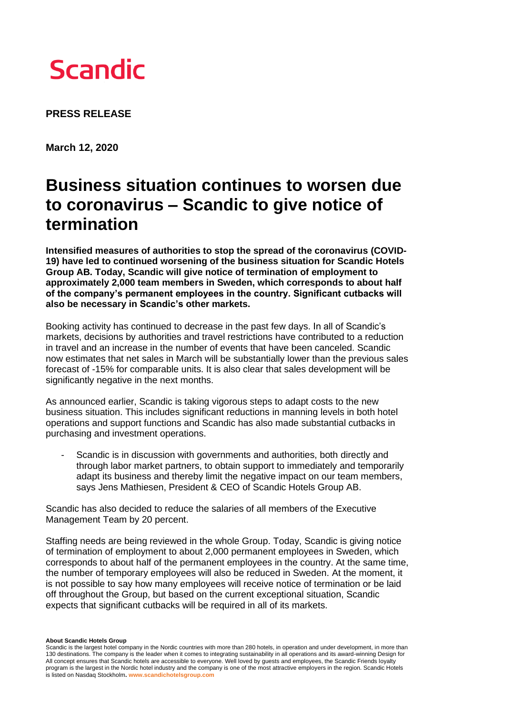

**PRESS RELEASE** 

**March 12, 2020**

## **Business situation continues to worsen due to coronavirus – Scandic to give notice of termination**

**Intensified measures of authorities to stop the spread of the coronavirus (COVID-19) have led to continued worsening of the business situation for Scandic Hotels Group AB. Today, Scandic will give notice of termination of employment to approximately 2,000 team members in Sweden, which corresponds to about half of the company's permanent employees in the country. Significant cutbacks will also be necessary in Scandic's other markets.** 

Booking activity has continued to decrease in the past few days. In all of Scandic's markets, decisions by authorities and travel restrictions have contributed to a reduction in travel and an increase in the number of events that have been canceled. Scandic now estimates that net sales in March will be substantially lower than the previous sales forecast of -15% for comparable units. It is also clear that sales development will be significantly negative in the next months.

As announced earlier, Scandic is taking vigorous steps to adapt costs to the new business situation. This includes significant reductions in manning levels in both hotel operations and support functions and Scandic has also made substantial cutbacks in purchasing and investment operations.

Scandic is in discussion with governments and authorities, both directly and through labor market partners, to obtain support to immediately and temporarily adapt its business and thereby limit the negative impact on our team members, says Jens Mathiesen, President & CEO of Scandic Hotels Group AB.

Scandic has also decided to reduce the salaries of all members of the Executive Management Team by 20 percent.

Staffing needs are being reviewed in the whole Group. Today, Scandic is giving notice of termination of employment to about 2,000 permanent employees in Sweden, which corresponds to about half of the permanent employees in the country. At the same time, the number of temporary employees will also be reduced in Sweden. At the moment, it is not possible to say how many employees will receive notice of termination or be laid off throughout the Group, but based on the current exceptional situation, Scandic expects that significant cutbacks will be required in all of its markets.

**About Scandic Hotels Group**

Scandic is the largest hotel company in the Nordic countries with more than 280 hotels, in operation and under development, in more than 130 destinations. The company is the leader when it comes to integrating sustainability in all operations and its award-winning Design for All concept ensures that Scandic hotels are accessible to everyone. Well loved by guests and employees, the Scandic Friends loyalty program is the largest in the Nordic hotel industry and the company is one of the most attractive employers in the region. Scandic Hotels is listed on Nasdaq Stockholm**. www.scandichotelsgroup.com**